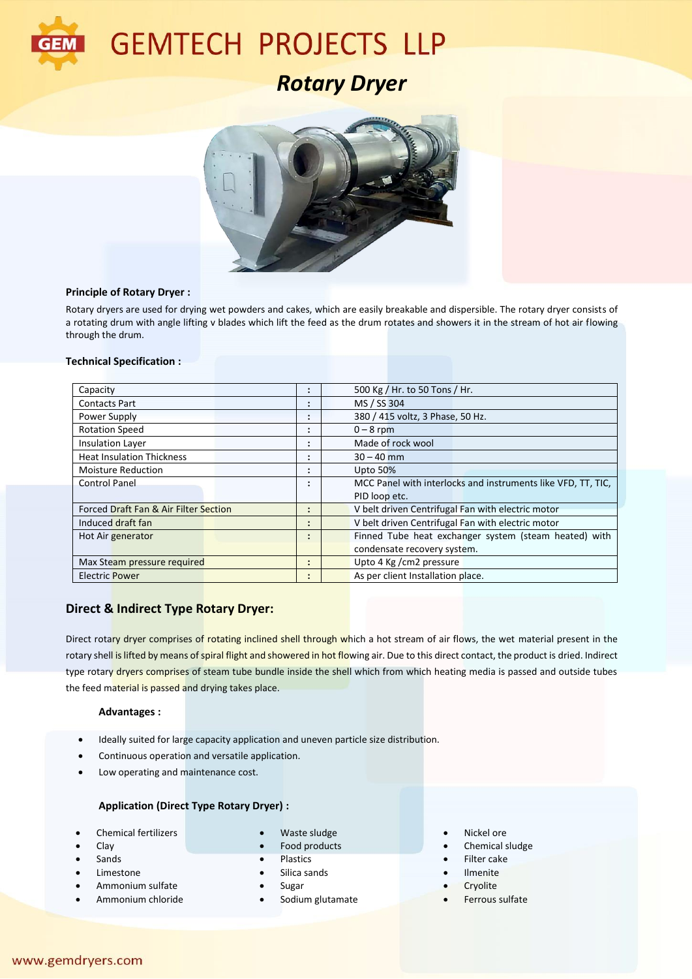

**GEMTECH PROJECTS LLP** 

*Rotary Dryer*



### **Principle of Rotary Dryer :**

Rotary dryers are used for drying wet powders and cakes, which are easily breakable and dispersible. The rotary dryer consists of a rotating drum with angle lifting v blades which lift the feed as the drum rotates and showers it in the stream of hot air flowing through the drum.

### **Technical Specification :**

| Capacity                              | ٠<br>٠              | 500 Kg / Hr. to 50 Tons / Hr.                                |
|---------------------------------------|---------------------|--------------------------------------------------------------|
| <b>Contacts Part</b>                  | ٠<br>٠              | MS / SS 304                                                  |
| Power Supply                          | ٠<br>٠              | 380 / 415 voltz, 3 Phase, 50 Hz.                             |
| <b>Rotation Speed</b>                 | $\bullet$<br>٠      | $0 - 8$ rpm                                                  |
| <b>Insulation Layer</b>               | ٠<br>$\bullet$      | Made of rock wool                                            |
| <b>Heat Insulation Thickness</b>      | ٠<br>٠              | $30 - 40$ mm                                                 |
| <b>Moisture Reduction</b>             | ٠<br>٠              | <b>Upto 50%</b>                                              |
| <b>Control Panel</b>                  | ٠                   | MCC Panel with interlocks and instruments like VFD, TT, TIC, |
|                                       |                     | PID loop etc.                                                |
| Forced Draft Fan & Air Filter Section | ٠<br>٠              | V belt driven Centrifugal Fan with electric motor            |
| Induced draft fan                     | ٠<br>$\blacksquare$ | V belt driven Centrifugal Fan with electric motor            |
| Hot Air generator                     | ٠                   | Finned Tube heat exchanger system (steam heated) with        |
|                                       |                     | condensate recovery system.                                  |
| Max Steam pressure required           | $\bullet$<br>٠      | Upto 4 Kg / cm2 pressure                                     |
| <b>Electric Power</b>                 | $\bullet$           | As per client Installation place.                            |

### **Direct & Indirect Type Rotary Dryer:**

Direct rotary dryer comprises of rotating inclined shell through which a hot stream of air flows, the wet material present in the rotary shell is lifted by means of spiral flight and showered in hot flowing air. Due to this direct contact, the product is dried. Indirect type rotary dryers comprises of steam tube bundle inside the shell which from which heating media is passed and outside tubes the feed material is passed and drying takes place.

#### **Advantages :**

- Ideally suited for large capacity application and uneven particle size distribution.
- Continuous operation and versatile application.
- Low operating and maintenance cost.

### **Application (Direct Type Rotary Dryer) :**

- Chemical fertilizers **Chemical fertilizers and Chemical fertilizers and Chemical fertilizers and Chemical fertilizers and Chemical fertilizers and Chemical fertilizers and Chemical fertilizers and Chemical fe**
- 
- 
- 
- Ammonium sulfate **Canadian Contract Contract Contract Contract Contract Contract Contract Contract Contract Contract Contract Contract Contract Contract Contract Contract Contract Contract Contract Contract Contract Contra**
- 
- 
- 
- Limestone **Calculation Communist Communist Communist Communist Communist Communist Communist Communist Communist Communist Communist Communist Communist Communist Communist Communist Communist Communist Communist Communist** 
	-
	-
- Ammonium chloride Ferrous sulfate Ferrous sulfate Ferrous sulfate
- 
- Clay Chemical sludge Chemical sludge Chemical sludge
- Sands Plastics Filter cake
	-
	-
	-

www.gemdryers.com